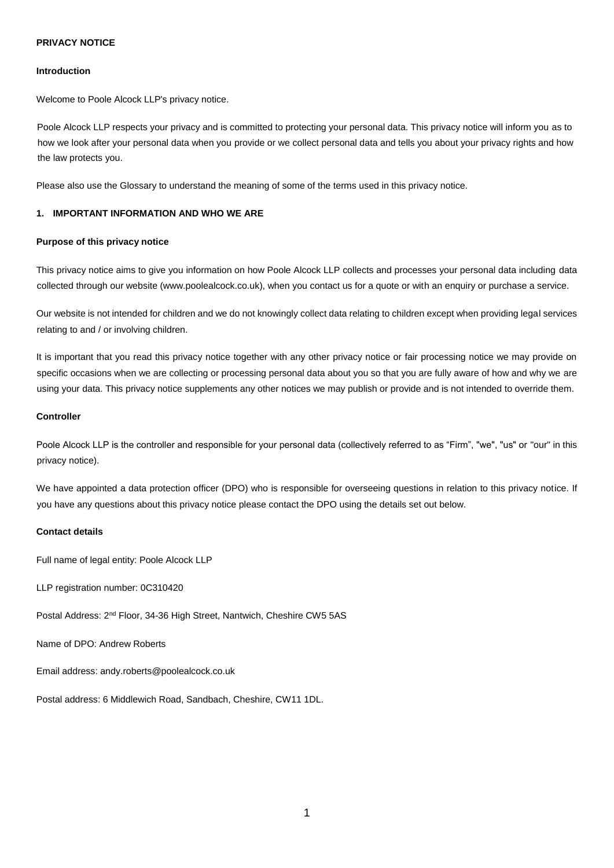# **PRIVACY NOTICE**

### **Introduction**

Welcome to Poole Alcock LLP's privacy notice.

Poole Alcock LLP respects your privacy and is committed to protecting your personal data. This privacy notice will inform you as to how we look after your personal data when you provide or we collect personal data and tells you about your privacy rights and how the law protects you.

Please also use the Glossary to understand the meaning of some of the terms used in this privacy notice.

## **1. IMPORTANT INFORMATION AND WHO WE ARE**

### **Purpose of this privacy notice**

This privacy notice aims to give you information on how Poole Alcock LLP collects and processes your personal data including data collected through our website (www.poolealcock.co.uk), when you contact us for a quote or with an enquiry or purchase a service.

Our website is not intended for children and we do not knowingly collect data relating to children except when providing legal services relating to and / or involving children.

It is important that you read this privacy notice together with any other privacy notice or fair processing notice we may provide on specific occasions when we are collecting or processing personal data about you so that you are fully aware of how and why we are using your data. This privacy notice supplements any other notices we may publish or provide and is not intended to override them.

#### **Controller**

Poole Alcock LLP is the controller and responsible for your personal data (collectively referred to as "Firm", "we", "us" or "our" in this privacy notice).

We have appointed a data protection officer (DPO) who is responsible for overseeing questions in relation to this privacy notice. If you have any questions about this privacy notice please contact the DPO using the details set out below.

#### **Contact details**

Full name of legal entity: Poole Alcock LLP

LLP registration number: 0C310420

Postal Address: 2nd Floor, 34-36 High Street, Nantwich, Cheshire CW5 5AS

Name of DPO: Andrew Roberts

Email address: andy.roberts@poolealcock.co.uk

Postal address: 6 Middlewich Road, Sandbach, Cheshire, CW11 1DL.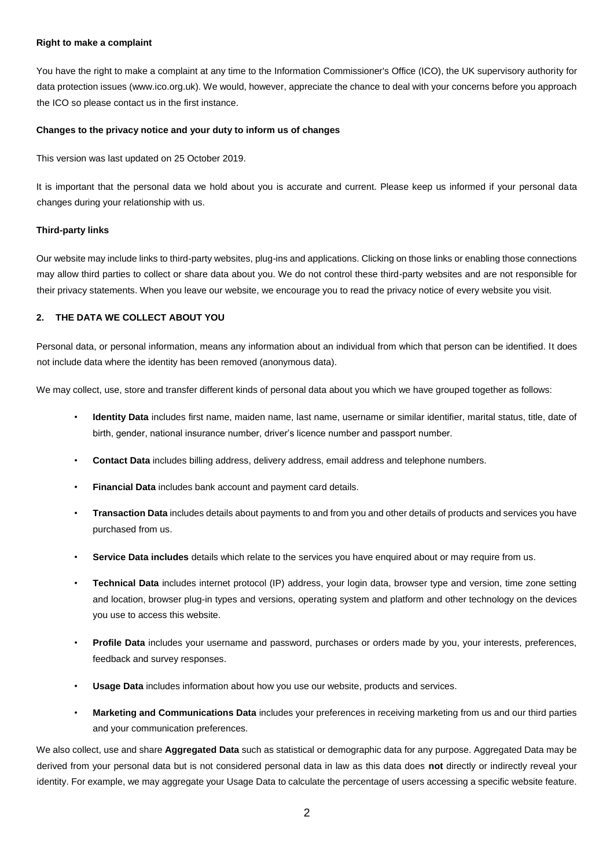### **Right to make a complaint**

You have the right to make a complaint at any time to the Information Commissioner's Office (ICO), the UK supervisory authority for data protection issues (www.ico.org.uk). We would, however, appreciate the chance to deal with your concerns before you approach the ICO so please contact us in the first instance.

## **Changes to the privacy notice and your duty to inform us of changes**

This version was last updated on 25 October 2019.

It is important that the personal data we hold about you is accurate and current. Please keep us informed if your personal data changes during your relationship with us.

### **Third-party links**

Our website may include links to third-party websites, plug-ins and applications. Clicking on those links or enabling those connections may allow third parties to collect or share data about you. We do not control these third-party websites and are not responsible for their privacy statements. When you leave our website, we encourage you to read the privacy notice of every website you visit.

# **2. THE DATA WE COLLECT ABOUT YOU**

Personal data, or personal information, means any information about an individual from which that person can be identified. It does not include data where the identity has been removed (anonymous data).

We may collect, use, store and transfer different kinds of personal data about you which we have grouped together as follows:

- **Identity Data** includes first name, maiden name, last name, username or similar identifier, marital status, title, date of birth, gender, national insurance number, driver's licence number and passport number.
- **Contact Data** includes billing address, delivery address, email address and telephone numbers.
- **Financial Data** includes bank account and payment card details.
- **Transaction Data** includes details about payments to and from you and other details of products and services you have purchased from us.
- **Service Data includes** details which relate to the services you have enquired about or may require from us.
- **Technical Data** includes internet protocol (IP) address, your login data, browser type and version, time zone setting and location, browser plug-in types and versions, operating system and platform and other technology on the devices you use to access this website.
- **Profile Data** includes your username and password, purchases or orders made by you, your interests, preferences, feedback and survey responses.
- **Usage Data** includes information about how you use our website, products and services.
- **Marketing and Communications Data** includes your preferences in receiving marketing from us and our third parties and your communication preferences.

We also collect, use and share **Aggregated Data** such as statistical or demographic data for any purpose. Aggregated Data may be derived from your personal data but is not considered personal data in law as this data does **not** directly or indirectly reveal your identity. For example, we may aggregate your Usage Data to calculate the percentage of users accessing a specific website feature.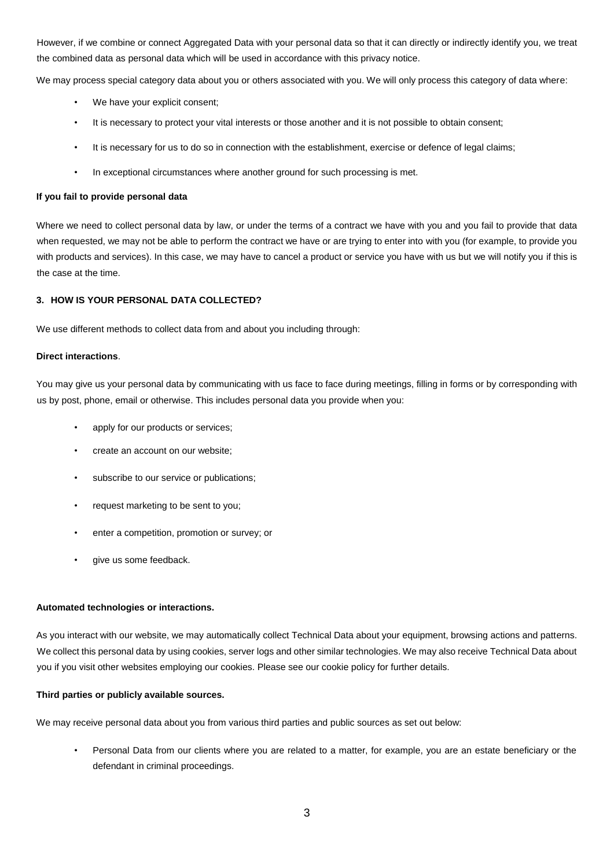However, if we combine or connect Aggregated Data with your personal data so that it can directly or indirectly identify you, we treat the combined data as personal data which will be used in accordance with this privacy notice.

We may process special category data about you or others associated with you. We will only process this category of data where:

- We have your explicit consent:
- It is necessary to protect your vital interests or those another and it is not possible to obtain consent:
- It is necessary for us to do so in connection with the establishment, exercise or defence of legal claims;
- In exceptional circumstances where another ground for such processing is met.

### **If you fail to provide personal data**

Where we need to collect personal data by law, or under the terms of a contract we have with you and you fail to provide that data when requested, we may not be able to perform the contract we have or are trying to enter into with you (for example, to provide you with products and services). In this case, we may have to cancel a product or service you have with us but we will notify you if this is the case at the time.

# **3. HOW IS YOUR PERSONAL DATA COLLECTED?**

We use different methods to collect data from and about you including through:

### **Direct interactions**.

You may give us your personal data by communicating with us face to face during meetings, filling in forms or by corresponding with us by post, phone, email or otherwise. This includes personal data you provide when you:

- apply for our products or services;
- create an account on our website;
- subscribe to our service or publications;
- request marketing to be sent to you;
- enter a competition, promotion or survey; or
- give us some feedback.

### **Automated technologies or interactions.**

As you interact with our website, we may automatically collect Technical Data about your equipment, browsing actions and patterns. We collect this personal data by using cookies, server logs and other similar technologies. We may also receive Technical Data about you if you visit other websites employing our cookies. Please see our cookie policy for further details.

### **Third parties or publicly available sources.**

We may receive personal data about you from various third parties and public sources as set out below:

• Personal Data from our clients where you are related to a matter, for example, you are an estate beneficiary or the defendant in criminal proceedings.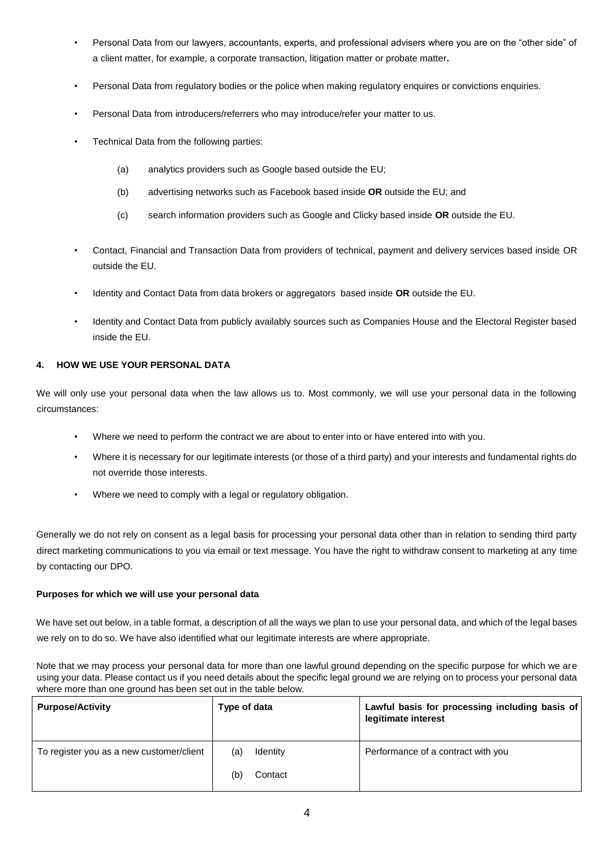- Personal Data from our lawyers, accountants, experts, and professional advisers where you are on the "other side" of a client matter, for example, a corporate transaction, litigation matter or probate matter**.**
- Personal Data from regulatory bodies or the police when making regulatory enquires or convictions enquiries.
- Personal Data from introducers/referrers who may introduce/refer your matter to us.
- Technical Data from the following parties:
	- (a) analytics providers such as Google based outside the EU;
	- (b) advertising networks such as Facebook based inside **OR** outside the EU; and
	- (c) search information providers such as Google and Clicky based inside **OR** outside the EU.
- Contact, Financial and Transaction Data from providers of technical, payment and delivery services based inside OR outside the EU.
- Identity and Contact Data from data brokers or aggregators based inside **OR** outside the EU.
- Identity and Contact Data from publicly availably sources such as Companies House and the Electoral Register based inside the EU.

# **4. HOW WE USE YOUR PERSONAL DATA**

We will only use your personal data when the law allows us to. Most commonly, we will use your personal data in the following circumstances:

- Where we need to perform the contract we are about to enter into or have entered into with you.
- Where it is necessary for our legitimate interests (or those of a third party) and your interests and fundamental rights do not override those interests.
- Where we need to comply with a legal or regulatory obligation.

Generally we do not rely on consent as a legal basis for processing your personal data other than in relation to sending third party direct marketing communications to you via email or text message. You have the right to withdraw consent to marketing at any time by contacting our DPO.

# **Purposes for which we will use your personal data**

We have set out below, in a table format, a description of all the ways we plan to use your personal data, and which of the legal bases we rely on to do so. We have also identified what our legitimate interests are where appropriate.

Note that we may process your personal data for more than one lawful ground depending on the specific purpose for which we are using your data. Please contact us if you need details about the specific legal ground we are relying on to process your personal data where more than one ground has been set out in the table below.

| <b>Purpose/Activity</b>                  | Type of data                      | Lawful basis for processing including basis of<br>legitimate interest |
|------------------------------------------|-----------------------------------|-----------------------------------------------------------------------|
| To register you as a new customer/client | Identity<br>(a)<br>(b)<br>Contact | Performance of a contract with you                                    |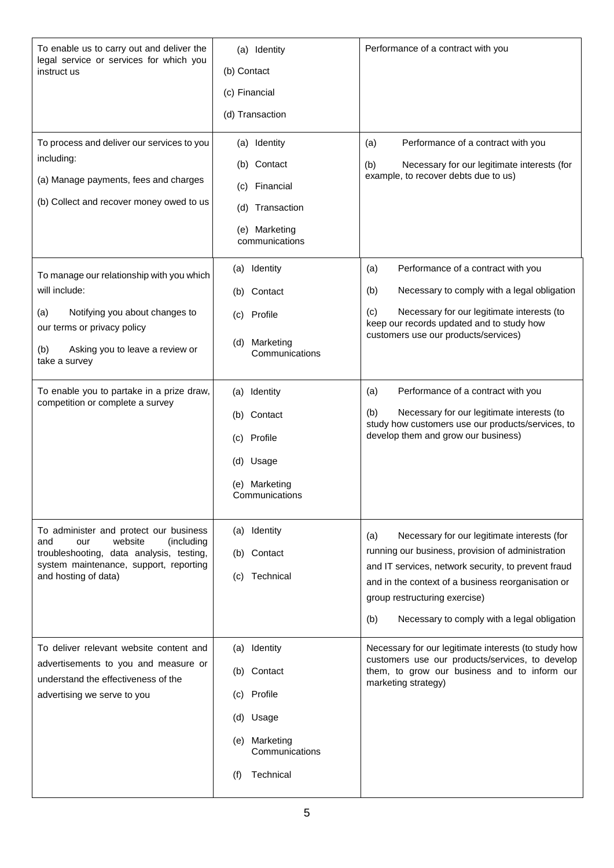| To enable us to carry out and deliver the<br>legal service or services for which you<br>instruct us<br>To process and deliver our services to you<br>including:<br>(a) Manage payments, fees and charges<br>(b) Collect and recover money owed to us | (a) Identity<br>(b) Contact<br>(c) Financial<br>(d) Transaction<br>(a) Identity<br>Contact<br>(b)<br>Financial<br>(c)<br>Transaction<br>(d)<br>(e) Marketing | Performance of a contract with you<br>Performance of a contract with you<br>(a)<br>Necessary for our legitimate interests (for<br>(b)<br>example, to recover debts due to us)                                                                                                                               |
|------------------------------------------------------------------------------------------------------------------------------------------------------------------------------------------------------------------------------------------------------|--------------------------------------------------------------------------------------------------------------------------------------------------------------|-------------------------------------------------------------------------------------------------------------------------------------------------------------------------------------------------------------------------------------------------------------------------------------------------------------|
| To manage our relationship with you which<br>will include:<br>Notifying you about changes to<br>(a)<br>our terms or privacy policy<br>Asking you to leave a review or<br>(b)<br>take a survey                                                        | communications<br>(a) Identity<br>(b) Contact<br>(c) Profile<br>Marketing<br>(d)<br>Communications                                                           | Performance of a contract with you<br>(a)<br>Necessary to comply with a legal obligation<br>(b)<br>Necessary for our legitimate interests (to<br>(c)<br>keep our records updated and to study how<br>customers use our products/services)                                                                   |
| To enable you to partake in a prize draw,<br>competition or complete a survey                                                                                                                                                                        | (a) Identity<br>(b) Contact<br>(c) Profile<br>(d) Usage<br>(e) Marketing<br>Communications                                                                   | Performance of a contract with you<br>(a)<br>Necessary for our legitimate interests (to<br>(b)<br>study how customers use our products/services, to<br>develop them and grow our business)                                                                                                                  |
| To administer and protect our business<br>and<br>website<br>(including<br>our<br>troubleshooting, data analysis, testing,<br>system maintenance, support, reporting<br>and hosting of data)                                                          | (a) Identity<br>(b) Contact<br>Technical<br>(C)                                                                                                              | Necessary for our legitimate interests (for<br>(a)<br>running our business, provision of administration<br>and IT services, network security, to prevent fraud<br>and in the context of a business reorganisation or<br>group restructuring exercise)<br>(b)<br>Necessary to comply with a legal obligation |
| To deliver relevant website content and<br>advertisements to you and measure or<br>understand the effectiveness of the<br>advertising we serve to you                                                                                                | (a) Identity<br>(b) Contact<br>Profile<br>(C)<br>(d) Usage<br>Marketing<br>(e)<br>Communications<br>Technical<br>(f)                                         | Necessary for our legitimate interests (to study how<br>customers use our products/services, to develop<br>them, to grow our business and to inform our<br>marketing strategy)                                                                                                                              |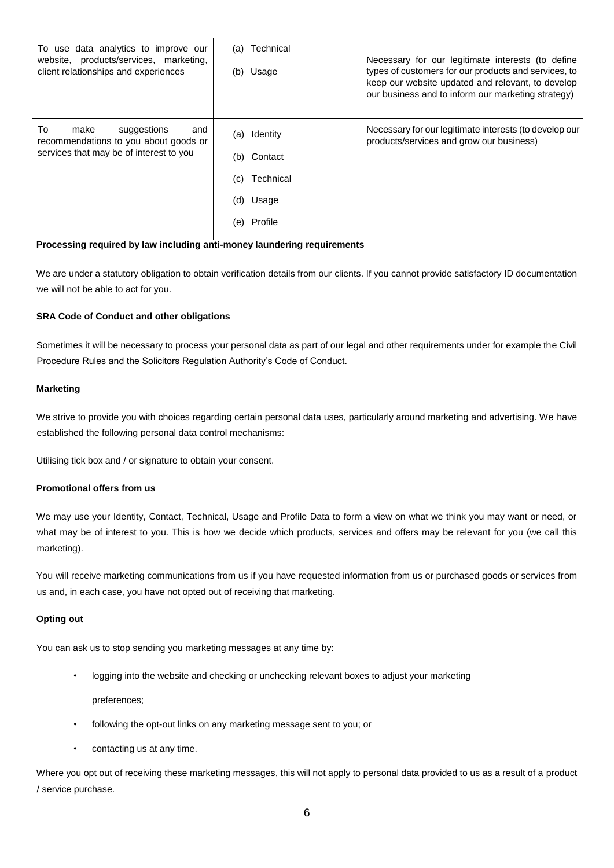| To use data analytics to improve our<br>website, products/services, marketing,<br>client relationships and experiences | Technical<br>(a)<br>Usage<br>(b)                                                        | Necessary for our legitimate interests (to define<br>types of customers for our products and services, to<br>keep our website updated and relevant, to develop<br>our business and to inform our marketing strategy) |
|------------------------------------------------------------------------------------------------------------------------|-----------------------------------------------------------------------------------------|----------------------------------------------------------------------------------------------------------------------------------------------------------------------------------------------------------------------|
| To<br>make<br>suggestions<br>and<br>recommendations to you about goods or<br>services that may be of interest to you   | Identity<br>(a)<br>Contact<br>(b)<br>Technical<br>(c)<br>(d)<br>Usage<br>Profile<br>(e) | Necessary for our legitimate interests (to develop our<br>products/services and grow our business)                                                                                                                   |

## **Processing required by law including anti-money laundering requirements**

We are under a statutory obligation to obtain verification details from our clients. If you cannot provide satisfactory ID documentation we will not be able to act for you.

# **SRA Code of Conduct and other obligations**

Sometimes it will be necessary to process your personal data as part of our legal and other requirements under for example the Civil Procedure Rules and the Solicitors Regulation Authority's Code of Conduct.

# **Marketing**

We strive to provide you with choices regarding certain personal data uses, particularly around marketing and advertising. We have established the following personal data control mechanisms:

Utilising tick box and / or signature to obtain your consent.

### **Promotional offers from us**

We may use your Identity, Contact, Technical, Usage and Profile Data to form a view on what we think you may want or need, or what may be of interest to you. This is how we decide which products, services and offers may be relevant for you (we call this marketing).

You will receive marketing communications from us if you have requested information from us or purchased goods or services from us and, in each case, you have not opted out of receiving that marketing.

#### **Opting out**

You can ask us to stop sending you marketing messages at any time by:

logging into the website and checking or unchecking relevant boxes to adjust your marketing

preferences;

- following the opt-out links on any marketing message sent to you; or
- contacting us at any time.

Where you opt out of receiving these marketing messages, this will not apply to personal data provided to us as a result of a product / service purchase.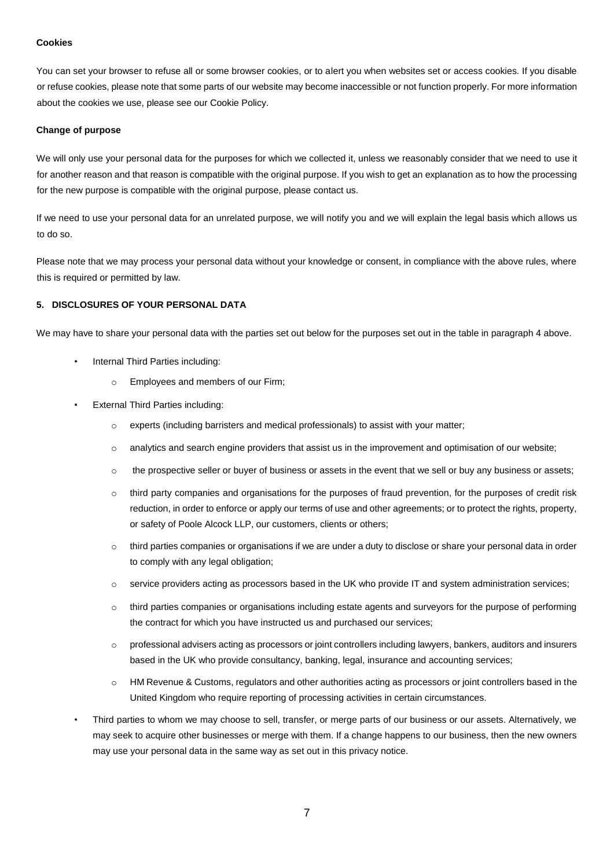### **Cookies**

You can set your browser to refuse all or some browser cookies, or to alert you when websites set or access cookies. If you disable or refuse cookies, please note that some parts of our website may become inaccessible or not function properly. For more information about the cookies we use, please see our Cookie Policy.

#### **Change of purpose**

We will only use your personal data for the purposes for which we collected it, unless we reasonably consider that we need to use it for another reason and that reason is compatible with the original purpose. If you wish to get an explanation as to how the processing for the new purpose is compatible with the original purpose, please contact us.

If we need to use your personal data for an unrelated purpose, we will notify you and we will explain the legal basis which allows us to do so.

Please note that we may process your personal data without your knowledge or consent, in compliance with the above rules, where this is required or permitted by law.

# **5. DISCLOSURES OF YOUR PERSONAL DATA**

We may have to share your personal data with the parties set out below for the purposes set out in the table in paragraph 4 above.

- Internal Third Parties including:
	- o Employees and members of our Firm;
- **External Third Parties including:** 
	- o experts (including barristers and medical professionals) to assist with your matter;
	- $\circ$  analytics and search engine providers that assist us in the improvement and optimisation of our website;
	- o the prospective seller or buyer of business or assets in the event that we sell or buy any business or assets;
	- o third party companies and organisations for the purposes of fraud prevention, for the purposes of credit risk reduction, in order to enforce or apply our terms of use and other agreements; or to protect the rights, property, or safety of Poole Alcock LLP, our customers, clients or others;
	- $\circ$  third parties companies or organisations if we are under a duty to disclose or share your personal data in order to comply with any legal obligation:
	- o service providers acting as processors based in the UK who provide IT and system administration services;
	- o third parties companies or organisations including estate agents and surveyors for the purpose of performing the contract for which you have instructed us and purchased our services;
	- $\circ$  professional advisers acting as processors or joint controllers including lawyers, bankers, auditors and insurers based in the UK who provide consultancy, banking, legal, insurance and accounting services;
	- o HM Revenue & Customs, regulators and other authorities acting as processors or joint controllers based in the United Kingdom who require reporting of processing activities in certain circumstances.
- Third parties to whom we may choose to sell, transfer, or merge parts of our business or our assets. Alternatively, we may seek to acquire other businesses or merge with them. If a change happens to our business, then the new owners may use your personal data in the same way as set out in this privacy notice.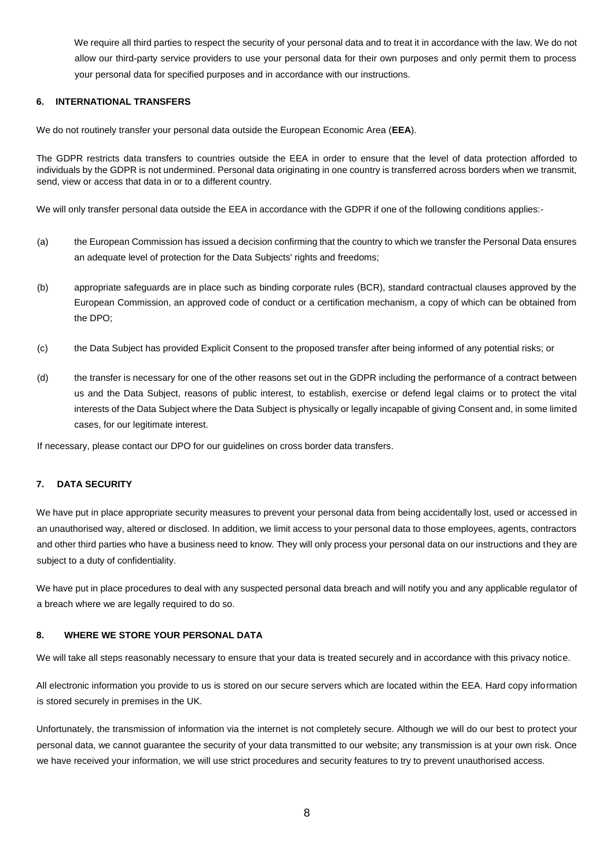We require all third parties to respect the security of your personal data and to treat it in accordance with the law. We do not allow our third-party service providers to use your personal data for their own purposes and only permit them to process your personal data for specified purposes and in accordance with our instructions.

### **6. INTERNATIONAL TRANSFERS**

We do not routinely transfer your personal data outside the European Economic Area (**EEA**).

The GDPR restricts data transfers to countries outside the EEA in order to ensure that the level of data protection afforded to individuals by the GDPR is not undermined. Personal data originating in one country is transferred across borders when we transmit, send, view or access that data in or to a different country.

We will only transfer personal data outside the EEA in accordance with the GDPR if one of the following conditions applies:-

- (a) the European Commission has issued a decision confirming that the country to which we transfer the Personal Data ensures an adequate level of protection for the Data Subjects' rights and freedoms:
- (b) appropriate safeguards are in place such as binding corporate rules (BCR), standard contractual clauses approved by the European Commission, an approved code of conduct or a certification mechanism, a copy of which can be obtained from the DPO;
- (c) the Data Subject has provided Explicit Consent to the proposed transfer after being informed of any potential risks; or
- (d) the transfer is necessary for one of the other reasons set out in the GDPR including the performance of a contract between us and the Data Subject, reasons of public interest, to establish, exercise or defend legal claims or to protect the vital interests of the Data Subject where the Data Subject is physically or legally incapable of giving Consent and, in some limited cases, for our legitimate interest.

If necessary, please contact our DPO for our guidelines on cross border data transfers.

# **7. DATA SECURITY**

We have put in place appropriate security measures to prevent your personal data from being accidentally lost, used or accessed in an unauthorised way, altered or disclosed. In addition, we limit access to your personal data to those employees, agents, contractors and other third parties who have a business need to know. They will only process your personal data on our instructions and they are subject to a duty of confidentiality.

We have put in place procedures to deal with any suspected personal data breach and will notify you and any applicable regulator of a breach where we are legally required to do so.

## **8. WHERE WE STORE YOUR PERSONAL DATA**

We will take all steps reasonably necessary to ensure that your data is treated securely and in accordance with this privacy notice.

All electronic information you provide to us is stored on our secure servers which are located within the EEA. Hard copy information is stored securely in premises in the UK.

Unfortunately, the transmission of information via the internet is not completely secure. Although we will do our best to protect your personal data, we cannot guarantee the security of your data transmitted to our website; any transmission is at your own risk. Once we have received your information, we will use strict procedures and security features to try to prevent unauthorised access.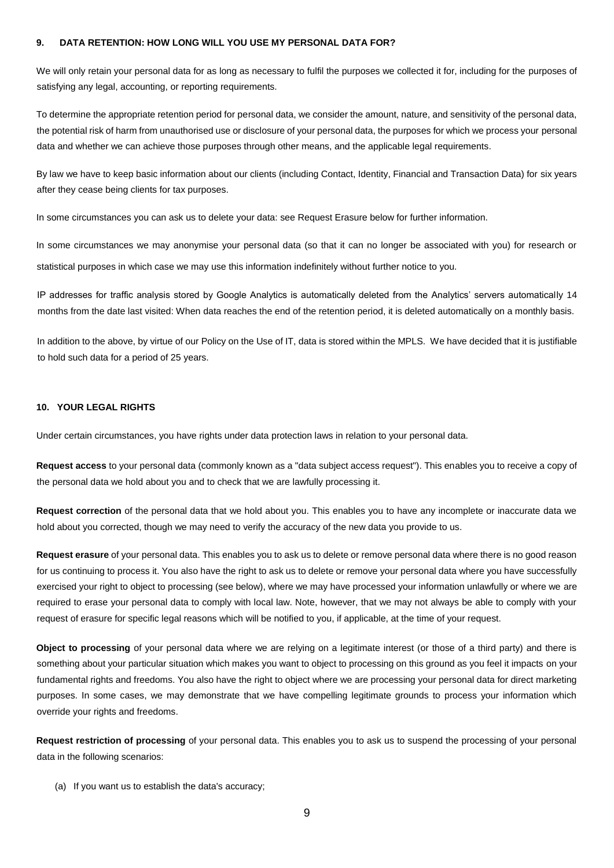### **9. DATA RETENTION: HOW LONG WILL YOU USE MY PERSONAL DATA FOR?**

We will only retain your personal data for as long as necessary to fulfil the purposes we collected it for, including for the purposes of satisfying any legal, accounting, or reporting requirements.

To determine the appropriate retention period for personal data, we consider the amount, nature, and sensitivity of the personal data, the potential risk of harm from unauthorised use or disclosure of your personal data, the purposes for which we process your personal data and whether we can achieve those purposes through other means, and the applicable legal requirements.

By law we have to keep basic information about our clients (including Contact, Identity, Financial and Transaction Data) for six years after they cease being clients for tax purposes.

In some circumstances you can ask us to delete your data: see Request Erasure below for further information.

In some circumstances we may anonymise your personal data (so that it can no longer be associated with you) for research or statistical purposes in which case we may use this information indefinitely without further notice to you.

IP addresses for traffic analysis stored by Google Analytics is automatically deleted from the Analytics' servers automatically 14 months from the date last visited: When data reaches the end of the retention period, it is deleted automatically on a monthly basis.

In addition to the above, by virtue of our Policy on the Use of IT, data is stored within the MPLS. We have decided that it is justifiable to hold such data for a period of 25 years.

### **10. YOUR LEGAL RIGHTS**

Under certain circumstances, you have rights under data protection laws in relation to your personal data.

**Request access** to your personal data (commonly known as a "data subject access request"). This enables you to receive a copy of the personal data we hold about you and to check that we are lawfully processing it.

**Request correction** of the personal data that we hold about you. This enables you to have any incomplete or inaccurate data we hold about you corrected, though we may need to verify the accuracy of the new data you provide to us.

**Request erasure** of your personal data. This enables you to ask us to delete or remove personal data where there is no good reason for us continuing to process it. You also have the right to ask us to delete or remove your personal data where you have successfully exercised your right to object to processing (see below), where we may have processed your information unlawfully or where we are required to erase your personal data to comply with local law. Note, however, that we may not always be able to comply with your request of erasure for specific legal reasons which will be notified to you, if applicable, at the time of your request.

**Object to processing** of your personal data where we are relying on a legitimate interest (or those of a third party) and there is something about your particular situation which makes you want to object to processing on this ground as you feel it impacts on your fundamental rights and freedoms. You also have the right to object where we are processing your personal data for direct marketing purposes. In some cases, we may demonstrate that we have compelling legitimate grounds to process your information which override your rights and freedoms.

**Request restriction of processing** of your personal data. This enables you to ask us to suspend the processing of your personal data in the following scenarios:

(a) If you want us to establish the data's accuracy;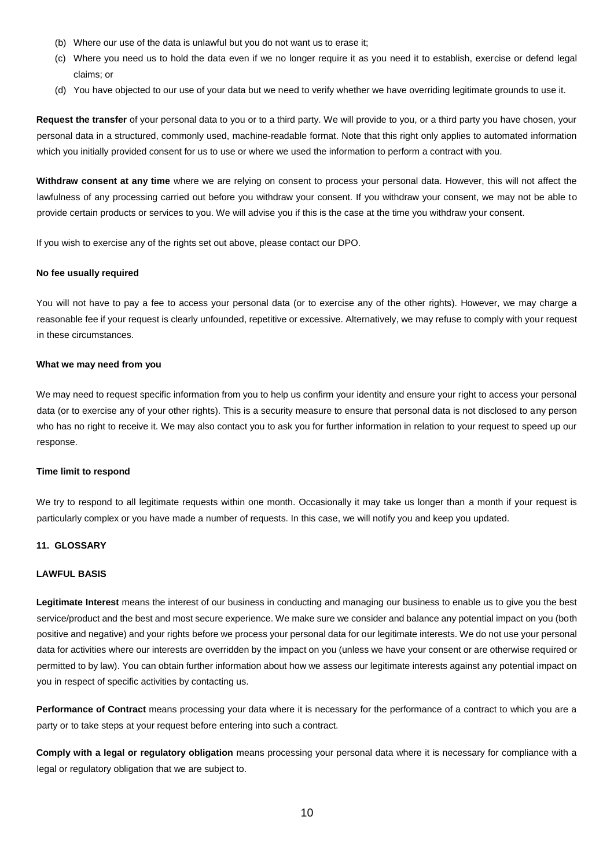- (b) Where our use of the data is unlawful but you do not want us to erase it;
- (c) Where you need us to hold the data even if we no longer require it as you need it to establish, exercise or defend legal claims; or
- (d) You have objected to our use of your data but we need to verify whether we have overriding legitimate grounds to use it.

**Request the transfer** of your personal data to you or to a third party. We will provide to you, or a third party you have chosen, your personal data in a structured, commonly used, machine-readable format. Note that this right only applies to automated information which you initially provided consent for us to use or where we used the information to perform a contract with you.

**Withdraw consent at any time** where we are relying on consent to process your personal data. However, this will not affect the lawfulness of any processing carried out before you withdraw your consent. If you withdraw your consent, we may not be able to provide certain products or services to you. We will advise you if this is the case at the time you withdraw your consent.

If you wish to exercise any of the rights set out above, please contact our DPO.

#### **No fee usually required**

You will not have to pay a fee to access your personal data (or to exercise any of the other rights). However, we may charge a reasonable fee if your request is clearly unfounded, repetitive or excessive. Alternatively, we may refuse to comply with your request in these circumstances.

#### **What we may need from you**

We may need to request specific information from you to help us confirm your identity and ensure your right to access your personal data (or to exercise any of your other rights). This is a security measure to ensure that personal data is not disclosed to any person who has no right to receive it. We may also contact you to ask you for further information in relation to your request to speed up our response.

#### **Time limit to respond**

We try to respond to all legitimate requests within one month. Occasionally it may take us longer than a month if your request is particularly complex or you have made a number of requests. In this case, we will notify you and keep you updated.

### **11. GLOSSARY**

### **LAWFUL BASIS**

**Legitimate Interest** means the interest of our business in conducting and managing our business to enable us to give you the best service/product and the best and most secure experience. We make sure we consider and balance any potential impact on you (both positive and negative) and your rights before we process your personal data for our legitimate interests. We do not use your personal data for activities where our interests are overridden by the impact on you (unless we have your consent or are otherwise required or permitted to by law). You can obtain further information about how we assess our legitimate interests against any potential impact on you in respect of specific activities by contacting us.

**Performance of Contract** means processing your data where it is necessary for the performance of a contract to which you are a party or to take steps at your request before entering into such a contract.

**Comply with a legal or regulatory obligation** means processing your personal data where it is necessary for compliance with a legal or regulatory obligation that we are subject to.